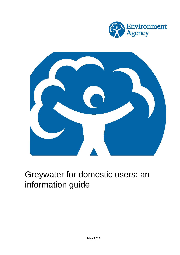

<span id="page-0-0"></span>

# Greywater for domestic users: an information guide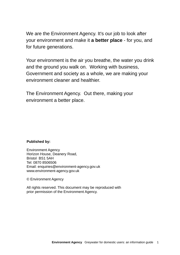W e are the Environment Agency. It's our job to look after your environment and make it **a better place** - for you, and for futur e generations.

Y our environment is the air you breathe, the water you drink and the ground you walk on. Working with business, Government and society as a whole, we are making your environment cleaner and healthier .

The Environment Agency. Out there, making your environment a better place.

### **Published by:**

Environment Agency Horizon House, Deanery Road, Bristol BS1 5AH Tel: 0870 8506506 Email: enquiries@environment-agency.gov.uk www.environment-agency.gov.uk

© Environment Agency

All rights reserved. This document may be reproduced with prior permission of the Environment Agency.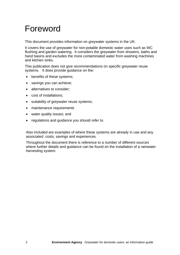# Foreword

This document provides information on greywater systems in the UK.

It covers the use of greywater for non-potable domestic water uses such as WC flushing and garden watering. It considers the greywater from showers, baths and hand basins and excludes the more contaminated water from washing machines and kitchen sinks.

This publication does not give recommendations on specific greywater reuse systems. It does provide guidance on the:

- benefits of these systems;
- savings you can achieve;
- alternatives to consider;
- cost of installations;
- suitability of greywater reuse systems;
- maintenance requirements
- water quality issues; and
- regulations and guidance you should refer to.

Also included are examples of where these systems are already in use and any associated costs, savings and experiences.

Throughout the document there is reference to a number of different sources where further details and guidance can be found on the installation of a rainwater harvesting system.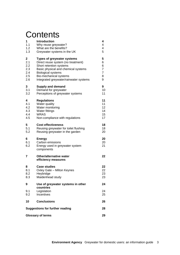# **Contents**

| 1                                            | Introduction                                                                       | 4              |
|----------------------------------------------|------------------------------------------------------------------------------------|----------------|
| 1.1                                          | Why reuse greywater?                                                               | 4              |
| 1.2                                          | What are the benefits?                                                             | 4              |
| 1.3                                          | Greywater systems in the UK                                                        | 5              |
| 2                                            | <b>Types of greywater systems</b>                                                  | 5              |
| 2.1                                          | Direct reuse system (no treatment)                                                 | 6              |
| 2.2                                          | Short retention systems                                                            | 6              |
| 2.3                                          | Basic physical and chemical systems                                                | $\overline{7}$ |
| 2.4                                          | <b>Biological systems</b>                                                          | $\overline{7}$ |
| 2.5                                          | Bio-mechanical systems                                                             | 8              |
| 2.6                                          | Integrated greywater/rainwater systems                                             | 9              |
| 3                                            | <b>Supply and demand</b>                                                           | 9              |
| 3.1                                          | Demand for greywater                                                               | 10             |
| 3.2                                          | Perceptions of greywater systems                                                   | 11             |
| 4                                            | <b>Regulations</b>                                                                 | 11             |
| 4.1                                          | Water quality                                                                      | 11             |
| 4.2                                          | Water monitoring                                                                   | 12             |
| 4.3                                          | Water fittings                                                                     | 14             |
| 4.4                                          | <b>WRAS</b>                                                                        | 15             |
| 4.5                                          | Non-compliance with regulations                                                    | 17             |
| 5                                            | <b>Cost effectiveness</b>                                                          | 18             |
| 5.1                                          | Reusing greywater for toilet flushing                                              | 18             |
| 5.2                                          | Reusing greywater in the garden                                                    | 20             |
| 6<br>6.1<br>6.2                              | <b>Energy</b><br>Carbon emissions<br>Energy used in greywater system<br>components | 20<br>20<br>21 |
| 7                                            | <b>Other/alternative water</b><br>efficiency measures                              | 22             |
| 8                                            | <b>Case studies</b>                                                                | 22             |
| 8.1                                          | Oxley Gate - Milton Keynes                                                         | 22             |
| 8.2                                          | Heybridge                                                                          | 23             |
| 8.3                                          | Maidenhead study                                                                   | 23             |
| 9                                            | Use of greywater systems in other<br>countries                                     | 24             |
| 9.1                                          | Legislation                                                                        | 24             |
| 9.2                                          | Incentives                                                                         | 25             |
| 10                                           | <b>Conclusions</b>                                                                 | 26             |
| <b>Suggestions for further reading</b><br>28 |                                                                                    |                |
| 29<br><b>Glossary of terms</b>               |                                                                                    |                |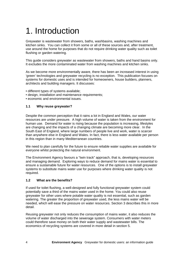# <span id="page-4-0"></span>1. Introduction

Greywater is wastewater from showers, baths, washbasins, washing machines and kitchen sinks. You can collect it from some or all of these sources and, after treatment, use around the home for purposes that do not require drinking water quality such as toilet flushing or garden watering.

This guide considers greywater as wastewater from showers, baths and hand basins only. It excludes the more contaminated water from washing machines and kitchen sinks.

As we become more environmentally aware, there has been an increased interest in using 'green' technologies and greywater recycling is no exception. This publication focuses on systems for domestic uses and is intended for homeowners, house builders, planners, architects and building managers. It discusses:

- different types of systems available;
- design, installation and maintenance requirements:
- economic and environmental issues.

#### **1.1 Why reuse greywater?**

Despite the common perception that it rains a lot in England and Wales, our water resources are under pressure. A high volume of water is taken from the environment for human use. Demand for water is rising because the population is increasing, lifestyles are changing and the impacts of a changing climate are becoming more clear. In the South East of England, where large numbers of people live and work, water is scarcer than anywhere else in England and Wales. In fact, there is less water available per person in this region than in many Mediterranean countries.

We need to plan carefully for the future to ensure reliable water supplies are available for everyone whilst protecting the natural environment.

The Environment Agency favours a "twin track" approach, that is, developing resources and managing demand. Exploring ways to reduce demand for mains water is essential to ensure a sustainable future for water resources. One of the options is to install greywater systems to substitute mains water use for purposes where drinking water quality is not required.

#### **1.2 What are the benefits?**

If used for toilet flushing, a well-designed and fully functional greywater system could potentially save a third of the mains water used in the home. You could also reuse greywater for other uses where potable water quality is not essential, such as garden watering. The greater the proportion of greywater used, the less mains water will be needed, which will ease the pressure on water resources. Section 3 describes this in more detail.

Reusing greywater not only reduces the consumption of mains water, it also reduces the volume of water discharged into the sewerage system. Consumers with water meters could therefore save money on both their water supply and wastewater bills. The economics of recycling systems are covered in more detail in section 5.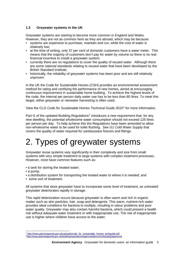#### <span id="page-5-0"></span>**1.3 Greywater systems in the UK**

Greywater systems are starting to become more common in England and Wales. However, they are not as common here as they are abroad, which may be because:

- systems are expensive to purchase, maintain and run, while the cost of water is relatively low;
- at the time of writing, only 37 per cent of domestic customers have a water meter. This means that the majority of customers don't pay for water by volume so there is no real financial incentive to install a greywater system;
- currently there are no regulations to cover the quality of reused water. Although there are some national standards relating to reused water that have been developed by the British Standard Institute;
- historically, the reliability of greywater systems has been poor and are still relatively unproven.

In the UK the Code for Sustainable Homes (CSH) provides an environmental assessment method for rating and certifying the performance of new homes, aimed at encouraging continuous improvement in sustainable home building. To achieve the highest levels of the code, the internal per person daily water use has to be less than 80 litres. To meet this target, either greywater or rainwater harvesting is often used.

View the CLG *Code for Sustainable Homes Technical Guide 2010[1](#page-5-1)* for more information.

Part G of the updated Building Regulations<sup>[2](#page-5-2)</sup> introduces a new requirement that, for any new dwelling, the potential wholesome water consumption should not exceed 125 litres per person per day. To help achieve this the Regulations have been amended to allow non-wholesome water to be used for toilet flushing. See *G1 Cold Water Supply* that covers the quality of water required for sanitaryware fixtures and fittings.

# 2. Types of greywater systems

Greywater reuse systems vary significantly in their complexity and size from small systems with very simple treatment to large systems with complex treatment processes. However, most have common features such as:

- a tank for storing the treated water:
- a pump;

l

- a distribution system for transporting the treated water to where it is needed; and
- some sort of treatment.

All systems that store greywater have to incorporate some level of treatment, as untreated greywater deteriorates rapidly in storage.

This rapid deterioration occurs because greywater is often warm and rich in organic matter such as skin particles, hair, soap and detergents. This warm, nutrient-rich water provides ideal conditions for bacteria to multiply, resulting in odour problems and poor water quality. Greywater may also contain harmful bacteria, which could present a health risk without adequate water treatment or with inappropriate use. The risk of inappropriate use is higher where children have access to the water.

<span id="page-5-1"></span>[http://www.planningportal.gov.uk/uploads/code\\_for\\_sustainable\\_homes\\_techguide.pdf](http://www.planningportal.gov.uk/uploads/code_for_sustainable_homes_techguide.pdf)

<span id="page-5-2"></span><http://www.planningportal.gov.uk/buildingregulations/approveddocuments/partg/approved>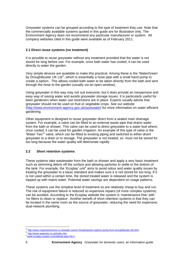<span id="page-6-0"></span>Greywater systems can be grouped according to the type of treatment they use. Note that the commercially available systems quoted in this guide are for illustration only. The Environment Agency does not recommend any particular manufacturer or system. All company websites cited in this guide were available as of February 2011.

#### **2.1 Direct reuse systems (no treatment)**

It is possible to reuse greywater without any treatment provided that the water is not stored for long before use. For example, once bath water has cooled, it can be used directly to water the garden.

Very simple devices are available to make this practical. Among these is the 'WaterGreen' by Droughtbuster UK Ltd<sup>[3](#page-6-1)</sup>, which is essentially a hose pipe with a small hand pump to create a siphon. This allows cooled bath water to be taken directly from the bath and sent through the hose to the garden (usually via an open window).

Using greywater in this way may not suit everyone, but it does provide an inexpensive and easy way of saving water and avoids greywater storage issues. It is particularly useful for keen gardeners when water use restrictions are in place. Experts usually advise that greywater should not be used on fruit or vegetable crops. See our website (<http://www.environment-agency.gov.uk/savewater>) for more information on water efficient gardening.

Other equipment is designed to reuse greywater direct from a sealed main drainage system. For example, a valve can be fitted to an external waste pipe that drains water from the bath or shower. This valve can be used to direct greywater to a water butt where, once cooled, it can be used for garden irrigation. An example of this type of valve is the 'Water Two<sup>'[4](#page-6-2)</sup> valve, which can be fitted to existing piping and switched to either divert greywater to a drain or to storage. The greywater is not treated, so must not be stored for too long because the water quality will deteriorate rapidly.

### **2.2 Short retention systems**

These systems take wastewater from the bath or shower and apply a very basic treatment such as skimming debris off the surface and allowing particles to settle to the bottom of the tank. For example, the 'Ecoplay' unit<sup>[5](#page-6-3)</sup> aims to avoid odour and water quality issues by treating the greywater to a basic standard and makes sure it is not stored for too long. If it is not used within a certain time, the stored treated water is released and the system is topped up with mains water. Potential water savings are dependent on usage patterns.

These systems use the simplest level of treatment so are relatively cheap to buy and run. The risk of equipment failure is reduced so expensive repairs (of more complex systems) can be avoided. According to the Ecoplay website the system is *'*maintenance free*'* with *'*no filters to clean or replace'. Another benefit of short retention systems is that they can be located in the same room as the source of greywater, reducing the need for expensive, dual-network plumbing.

 $\overline{a}$ 

<span id="page-6-1"></span><http://www.mygreenerhome.co.uk/water-savers-5/watergreen-syphon-pump-from-droughtbuster-80.html>

<span id="page-6-2"></span><http://www.watertwo.co.uk/index.htm>

<span id="page-6-3"></span><sup>5</sup> [www.ecoplay-system.com/default.aspx?id=1](http://www.ecoplay-system.com/default.aspx?id=1)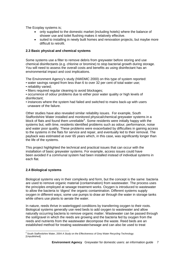<span id="page-7-0"></span>The Ecoplay systems is;

- only supplied to the domestic market (including hotels) where the balance of shower use and toilet flushing makes it relatively effective.
- suited to installing in newly built homes and renovation projects, but maybe more difficult to retrofit.

#### **2.3 Basic physical and chemical systems**

Some systems use a filter to remove debris from greywater before storing and use chemical disinfectants (e.g. chlorine or bromine) to stop bacterial growth during storage. You will need to assess the overall costs and benefits as using disinfectant has an environmental impact and cost implications.

The Environment Agency's study (NWDMC 2000) on this type of system reported:

- water savings ranged from less than 6 to over 32 per cent of total water use;
- reliability varied;
- filters required regular cleaning to avoid blockages;
- occurrence of odour problems due to either poor water quality or high levels of disinfectant;
- instances where the system had failed and switched to mains back-up with users unaware of the failure.

Other studies have also revealed similar reliability issues. For example, South Staffordshire Water installed and monitored physical/chemical greywater systems in a block of flats and found them unreliable $6$ . Some residents were initially happy with the systems but, with time, residents identified problems such as odour, performance, noise and water poor quality. These problems were exacerbated by difficulties in gaining access to the systems in the flats for service and repair, and eventually led to their removal. The payback was estimated at over 65 years which, in this case, was significantly longer than the life of the systems.

This project highlighted the technical and practical issues that can occur with the installation of basic greywater systems. For example, access issues could have been avoided if a communal system had been installed instead of individual systems in each flat.

### **2.4 Biological systems**

Biological systems vary in their complexity and form, but the concept is the same: bacteria are used to remove organic material (contamination) from wastewater. The process uses the principles employed at sewage treatment works. Oxygen is introduced to wastewater to allow the bacteria to 'digest' the organic contamination. Different systems supply oxygen in different ways; some use pumps to draw air through the water in storage tanks while others use plants to aerate the water.

In nature, reeds thrive in waterlogged conditions by transferring oxygen to their roots. Biological systems generally use reed beds to add oxygen to wastewater and allow naturally occurring bacteria to remove organic matter. Wastewater can be passed through the soil/gravel in which the reeds are growing and the bacteria fed by oxygen from the reeds and nutrients from the wastewater decompose the waste. Reed beds are an established method for treating wastewater/sewage and can also be used to treat

<span id="page-7-1"></span> 6 South Staffordshire Water, 2004 *A Study on the Effectiveness of Grey Water Recycling Technology.*  [Unpublished]*.*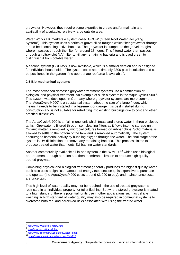<span id="page-8-0"></span>greywater. However, they require some expertise to create and/or maintain and availability of a suitable, relatively large outside area.

Water Works UK markets a system called GROW (Green Roof Water Recycling System<sup>[7](#page-8-1)</sup>). This system uses a series of gravel-filled troughs which filter greywater through a reed bed containing active bacteria. The greywater is pumped to the gravel troughs where it passes through the filter for around 18 hours. This filtered water then passes through an ultraviolet (UV) filter to kill any remaining bacteria and is dyed green to distinguish it from potable water.

A second system (GROW2) is now available, which is a smaller version and is designed for individual households. The system costs approximately £800 plus installation and can be positioned in the garden if no appropriate roof area is available ${}^{8}$  ${}^{8}$  ${}^{8}$ .

#### **2.5 Bio-mechanical systems**

The most advanced domestic greywater treatment systems use a combination of biological and physical treatment. An example of such a system is the 'AquaCycle® [9](#page-8-3)00'<sup>9</sup>. This system was developed in Germany where greywater systems are more common. The 'AquaCycle® 900' is a substantial system about the size of a large fridge, which means it needs to be installed in a basement or garage. It is best installed during construction and is not suitable for retrofitting into existing buildings due to cost and other practical difficulties.

The AquaCycle® 900 is an 'all-in-one' unit which treats and stores water in three enclosed tanks. Greywater is filtered through self-cleaning filters as it flows into the storage unit. Organic matter is removed by microbial cultures formed on rubber chips. Solid material is allowed to settle to the bottom of the tank and is removed automatically. The system encourages bacterial activity by bubbling oxygen through the water. The final stage of the system is UV disinfection to remove any remaining bacteria. This process claims to produce treated water that meets EU bathing water standards.

Another commercially available all-in-one system is the 'WME- $4'$ <sup>[10](#page-8-4)</sup> which uses biological pre-treatment through aeration and then membrane filtration to produce high quality treated greywater.

Combining physical and biological treatment generally produces the highest quality water, but it also uses a significant amount of energy (see section 6), is expensive to purchase and operate (the AquaCycle® 900 costs around £3,000 to buy), and maintenance costs are uncertain.

This high level of water quality may not be required if the use of treated greywater is restricted in an individual property for toilet flushing. But where stored greywater is treated to a high standard, there is potential for its use in other applications such as vehicle washing. A high standard of water quality may also be required in communal systems to overcome both real and perceived risks associated with using the treated water.

l  $\frac{7}{8}$  <http://www.wwuk.co.uk/grow.htm><br> $\frac{8 \text{ http://www.wuk.co.uk/grow2.htm}}{8}$ 

<span id="page-8-2"></span><span id="page-8-1"></span>

<span id="page-8-4"></span><span id="page-8-3"></span><sup>9</sup> <http://www.freewateruk.co.uk/greywater-III.htm>

<sup>10</sup> <http://www.aqua-lity.co.uk/index.php?id=118>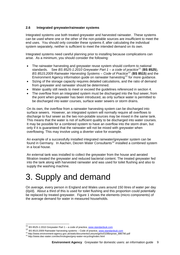#### <span id="page-9-0"></span>**2.6 Integrated greywater/rainwater systems**

Integrated systems use both treated greywater and harvested rainwater. These systems can be used where one or the other of the non-potable sources are insufficient to meet the end uses. You should only consider these systems if, after calculating the individual system separately, neither is sufficient to meet the intended demand on its own.

Integrated systems need careful planning prior to installing because complications can arise. As a minimum, you should consider the following:

- The rainwater harvesting and greywater reuse system should conform to national standards. See *BS 8525-1:2010 Greywater Part 1 – a code of practice*[11](#page-9-1) (**BS 8525**), *BS 8515:2009 Rainwater Harvesting Systems – Code of Practice*[12](#page-9-2) (**BS 8515**) and the Environment Agency information guide on rainwater harvesting<sup>[13](#page-9-3)</sup> for more guidance.
- Sizing of the storage capacity requires detailed calculations, and the ratio of demand from greywater and rainwater should be determined.
- Water quality still needs to meet or exceed the guidelines referenced in section 4.
- The overflow from an integrated system must be discharged into the foul sewer, from the point when greywater has been introduced, as only surface water is permitted to be discharged into water courses, surface water sewers or storm drains.

On its own, the overflow from a rainwater harvesting system can be discharged into surface sewers. However, an integrated system will normally require all overflows to discharge to foul sewer as the two non-potable sources may be mixed in the same tank. This means that the water is not of sufficient quality to be discharged into water courses. It may be possible for a combined system to have an overflow into the storm drain, but only if it is guaranteed that the rainwater will not be mixed with greywater when overflowing. This may involve using a diverter valve for example.

An example of a successfully installed integrated rainwater/greywater system can be found in Germany. In Aachen, Decren Water Consultants<sup>[14](#page-9-4)</sup> installed a combined system in a local house.

An external tank was installed to collect the greywater from the house and aerated filtration treated the greywater and reduced bacterial content. The treated greywater fed into the tank along with harvested rainwater and was used for toilet flushing and also to supply the washing machine.

# 3. Supply and demand

On average, every person in England and Wales uses around 150 litres of water per day (l/p/d). About a third of this is used for toilet flushing and this proportion could potentially be replaced by treated greywater. Figure 1 shows the elements (micro components) of the average demand for water in measured households.

l

<sup>11</sup> BS 8525-1:2010 Greywater Part 1 – a code of practice*,* [www.standardsuk.com](http://www.standardsuk.com/)

<span id="page-9-2"></span><span id="page-9-1"></span><sup>12</sup> BS 8515:2009 Rainwater harvesting systems – Code of practice, [www.standardsuk.com](http://www.standardsuk.com/)

<span id="page-9-3"></span><sup>13</sup> http://www.environment-agency.gov.uk/static/documents/Leisure/geho0108bnpnee\_886[79](http://www.standardsuk.com/)0.pdf<br>14 http://www.dwc-water.com/technologies/grey-water-recycling/index.html

<span id="page-9-4"></span>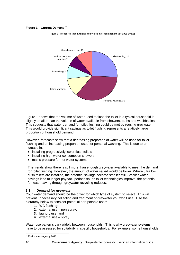#### <span id="page-10-0"></span>**Figure 1 – Current Demand**<sup>[15](#page-10-1)</sup>



**Figure 1: Measured total England and Wales microcomponent use 2009-10 (%)**

Figure 1 shows that the volume of water used to flush the toilet in a typical household is slightly smaller than the volume of water available from showers, baths and washbasins. This suggests that water demand for toilet flushing could be met by reusing greywater. This would provide significant savings as toilet flushing represents a relatively large proportion of household demand.

However, forecasts show that a decreasing proportion of water will be used for toilet flushing and an increasing proportion used for personal washing. This is due to an increase in:

- installing progressively lower flush toilets
- installing high water consumption showers
- mains pressure for hot water systems.

The trends show there is still more than enough greywater available to meet the demand for toilet flushing. However, the amount of water saved would be lower. Where ultra low flush toilets are installed, the potential savings become smaller still. Smaller water savings lead to longer payback periods so, as toilet technologies improve, the potential for water saving through greywater recycling reduces.

#### **3.1 Demand for greywater**

Your water demand should be the driver for which type of system to select. This will prevent unnecessary collection and treatment of greywater you won't use. Use the hierarchy below to consider potential non-potable uses:

- **1.** WC flushing;
- **2.** external use non-spray;
- **3.** laundry use; and
- **4.** external use spray.

Water use patterns vary widely between households. This is why greywater systems have to be assessed for suitability in specific households. For example, some households

<span id="page-10-1"></span>l <sup>15</sup> Environment Agency 2010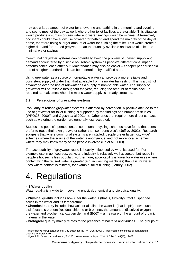<span id="page-11-0"></span>may use a large amount of water for showering and bathing in the morning and evening, and spend most of the day at work where other toilet facilities are available. This situation would produce a surplus of greywater and water savings would be minimal. Alternatively, occupants could have a low use of water for bathing and spend the majority of the day at home, therefore using a larger amount of water for flushing the toilet. This would create a higher demand for treated greywater than the quantity available and would also lead to minimal water savings.

Communal greywater systems can potentially avoid the problem of uneven supply and demand encountered by a single household system as people's different consumption patterns cancel each other out. Maintenance may also be easier – cheaper per household and of a higher standard as it can be undertaken by qualified staff.

Using greywater as a source of non-potable water can provide a more reliable and consistent supply of water than that available from rainwater harvesting. This is a distinct advantage over the use of rainwater as a supply of non-potable water. The supply of greywater will be reliable throughout the year, reducing the amount of mains back-up required at peak times when the mains water supply is already stretched.

### **3.2 Perceptions of greywater systems**

Popularity of reused greywater systems is affected by perception. A positive attitude to the use of greywater for toilet flushing is supported by the findings of a number of studies (WROCS, 2000[16](#page-11-1) and Ogoshi *et a*l 2001[17](#page-11-2)). Other uses that require more direct contact, such as watering the garden are generally less accepted.

Studies into people's perceptions of communal recycling schemes have found that users prefer to reuse their own greywater rather than someone else's (Jeffrey 2002). Research suggests that where communal systems are installed, people prefer larger 'city wide' schemes where the source of the water is anonymous, and not more local schemes where they may know many of the people involved (Po et al. 2003).

The acceptability of greywater reuse is heavily influenced by what its used for. For example use in golf courses, parks and industry is relatively well accepted, but reuse in people's houses is less popular. Furthermore, acceptability is lower for water uses where contact with the reused water is greater (e.g. in washing machines) than it is for water uses where contact is minimal, for example, toilet flushing (Jeffrey 2002).

# 4. Regulations

### **4.1 Water quality**

Water quality is a wide term covering physical, chemical and biological quality.

• **Physical quality** includes how clear the water is (that is, turbidity), total suspended solids in the water and its temperature.

• **Chemical quality** includes how acid or alkaline the water is (that is, pH), how much disinfectant is present (residual chlorine or bromine), the amount of dissolved oxygen in the water and biochemical oxygen demand (BOD) – a measure of the amount of organic material in the water.

• **Biological quality** mainly relates to the presence of bacteria and viruses. The groups of

<span id="page-11-1"></span>l <sup>16</sup> Water Recycling Opportunities for City Sustainability (WROCS) (2000). Final report to the industrial collaborators. Cranfield University, UK.

<span id="page-11-2"></span><sup>17</sup> Ogoshi, M., Suzuki, Y. and Asano, T. (2001) Water reuse in Japan. *Wat. Sci. Tech.*, **43**(10), 17–23.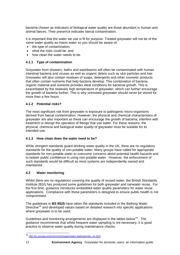<span id="page-12-0"></span>bacteria chosen as indicators of biological water quality are those abundant in human and animal faeces. Their presence indicates faecal contamination.

It is important that the water we use is fit for purpose. Treated greywater will not be of the same water quality as mains water so you should be aware of;

- the type of contamination:
- what the risks could be; and
- how clean the water needs to be.

#### **4.1.1 Type of contamination**

Greywater from showers, baths and washbasins will often be contaminated with human intestinal bacteria and viruses as well as organic debris such as skin particles and hair. Greywater will also contain residues of soaps, detergents and other cosmetic products that often contain nutrients that help bacteria develop. This combination of bacteria, organic material and nutrients provides ideal conditions for bacterial growth. This is exacerbated by the relatively high temperature of greywater, which can further encourage the growth of bacteria further. This is why untreated greywater should never be stored for more than a few hours.

#### **4.1.2 Potential risks?**

The most significant risk from greywater is exposure to pathogenic micro-organisms derived from faecal contamination. However, the physical and chemical characteristics of greywater are also important as these can encourage the growth of bacteria, interfere with treatment or disrupt the operation of fittings that use water. For these reasons, the physical, chemical and biological water quality of greywater must be suitable for its intended use.

#### **4.1.3 How clean does the water need to be?**

While stringent standards guard drinking water quality in the UK, there are no regulatory standards for the quality of non-potable water. Many groups have called for appropriate standards for non-potable water to overcome concerns about potential health hazards and to bolster public confidence in using non-potable water. However, the enforcement of such standards would be difficult as most systems are independently owned and maintained.

#### **4.2 Water monitoring**

Whilst there are no regulations covering the quality of reused water, the British Standards Institute (BSI) has produced some guidelines for both greywater and rainwater reuse. For the first time, guidance introduces embedded water quality parameters for water reuse applications. Compliance with these parameters is designed to ensure public health is not compromised.

The guidelines in **BS 8525** have taken the standards included in the Bathing Water Directive<sup>[18](#page-12-1)</sup> and developed values based on detailed research into specific applications where greywater is to be used.

Guidelines and monitoring arrangements are displayed in the tables below<sup>[19](#page-12-2)</sup>. The guidance recommends that whilst frequent water sampling is not necessary, it is good practice to observe water quality during maintenance checks.

<span id="page-12-2"></span> $\overline{a}$ 

<span id="page-12-1"></span><sup>18</sup> [http://ec.europa.eu/environment/water/water-bathing/index\\_en.html](http://ec.europa.eu/environment/water/water-bathing/index_en.html)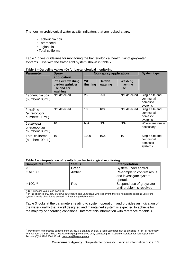The four microbiological water quality indicators that are looked at are:

- Escherichia coli
- Enterococci
- Legionella
- Total coliforms

Table 1 gives guidelines for monitoring the bacteriological health risk of greywater systems. Use with the traffic light system shown in table 2.

| <b>Parameter</b>                                          | <b>Spray</b><br>application                                     | <b>Non-spray application</b> |                    |                           | <b>System type</b>                                 |
|-----------------------------------------------------------|-----------------------------------------------------------------|------------------------------|--------------------|---------------------------|----------------------------------------------------|
|                                                           | Pressure washing,<br>garden sprinkler<br>use and car<br>washing | <b>WC</b><br>flushing        | Garden<br>watering | Washing<br>machine<br>use |                                                    |
| Escherichia coli<br>(number/100mL)                        | Not detected                                                    | 250                          | 250                | Not detected              | Single site and<br>communal<br>domestic<br>systems |
| <i>Intestinal</i><br><i>(enterococci</i><br>number/100mL) | Not detected                                                    | 100                          | 100                | Not detected              | Single site and<br>communal<br>domestic<br>systems |
| Legionella<br>pneumophila<br>(number/100mL)               | 10                                                              | N/A                          | N/A                | N/A                       | Where analysis is<br>necessary                     |
| <b>Total coliforms</b><br>(number/100mL)                  | 10                                                              | 1000                         | 1000               | 10                        | Single site and<br>communal<br>domestic<br>systems |

**Table 1 – Guideline values (G) for bacteriological monitoring** 

| Table 2 - Interpretation of results from bacteriological monitoring |  |  |
|---------------------------------------------------------------------|--|--|
|                                                                     |  |  |

| Sample result <sup>A)</sup> | <b>Status</b> | <b>Interpretation</b>                                              |
|-----------------------------|---------------|--------------------------------------------------------------------|
| $\mathsf{G}$                | Green         | System under control                                               |
| G to 10G                    | Amber         | Re-sample to confirm result<br>and investigate system<br>operation |
| $> 10G^{B}$                 | Red           | Suspend use of greywater<br>until problem is resolved              |

l

A) G = guideline value (see Table 1).<br><sup>B)</sup> In the absence of *E.coli, Intestinal enterococci* and *Legionella*, where relevant, there is no need to suspend use of the system if levels of coliforms exceed 10 times the guideline value.

Table 3 looks at the parameters relating to system operation, and provides an indication of the water quality that a well designed and maintained system is expected to achieve for the majority of operating conditions. Interpret this information with reference to table 4.

<sup>&</sup>lt;sup>19</sup> Permission to reproduce extracts from BS 8525 is granted by BSI. British Standards can be obtained in PDF or hard copy formats from the BSI online shop: [www.bsigroup.com/Shop](http://www.bsigroup.com/Shop) or by contacting BSI Customer Services for hardcopies only: Tel: +44 (0)20 8996 9001, Email: **[cservices@bsigroup.com.](mailto:cservices@bsigroup.com)**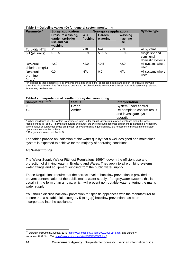| Parameter <sup>)</sup>        | <b>Spray application</b>                                        |                       | <b>Non-spray application</b> |                                  | <b>System type</b>                              |
|-------------------------------|-----------------------------------------------------------------|-----------------------|------------------------------|----------------------------------|-------------------------------------------------|
|                               | Pressure washing,<br>garden sprinkler<br>use and car<br>washing | <b>WC</b><br>flushing | <b>Garden</b><br>watering    | Washing<br>machine<br><b>use</b> |                                                 |
| <b>Turbidity NTU</b>          | $<$ 10                                                          | $<$ 10                | N/A                          | $<$ 10                           | All systems                                     |
| pH (pH units)                 | $5 - 9.5$                                                       | $5 - 9.5$             | $5 - 9.5$                    | $5 - 9.5$                        | Single site and<br>communal<br>domestic systems |
| Residual<br>chlorine (mg/L)   | 2.0                                                             | 2.0                   | < 0.5                        | 2.0                              | All systems where<br>used                       |
| Residual<br>bromine<br>(mg/L) | 0.0                                                             | N/A                   | 0.0                          | N/A                              | All systems where<br>used                       |

#### <span id="page-14-0"></span>**Table 3 – Guideline values (G) for general system monitoring**

<sup>3</sup>In addition to these parameters, all systems should be checked for suspended solids and colour. The treated greywater should be visually clear, free from floating debris and not objectionable in colour for all uses. Colour is particularly relevant for washing machine use.

#### **Table 4 - Interpretation of results from system monitoring**

| Sample result <sup>A)</sup> | <b>Status</b> | Interpretation              |
|-----------------------------|---------------|-----------------------------|
| $\lt G$                     | Green         | System under control        |
| $>\!G$                      | Amber         | Re-sample to confirm result |
|                             |               | and investigate system      |
|                             |               | operation                   |

 $A$ ) When monitoring pH, the system is considered to be under control (green status) when levels are within the range recommended in Table 3. If levels are outside this range, the system status becomes amber and re-sampling is necessary. Where colour or suspended solids are present at levels which are questionable, it is necessary to investigate the system operation to resolve the problem.<br><sup>B)</sup> G = guideline value (see Table 3).

The tables provide an indication of the water quality that a well designed and maintained system is expected to achieve for the majority of operating conditions.

#### **4.3 Water fittings**

The Water Supply (Water Fittings) Regulations 1999<sup>[20](#page-14-1)</sup> govern the efficient use and protection of drinking water in England and Wales. They apply to all plumbing systems, water fittings and equipment supplied from the public water supply.

These Regulations require that the correct level of backflow prevention is provided to prevent contamination of the public mains water supply. For greywater systems this is usually in the form of an air gap, which will prevent non-potable water entering the mains water supply.

You should discuss backflow prevention for specific appliances with the manufacturer to ensure that a suitable fluid category 5 (air gap) backflow prevention has been incorporated into the appliance.

l

<span id="page-14-1"></span><sup>&</sup>lt;sup>20</sup> Statutory Instrument 1999 No. 1148 ([http://www.hmso.gov.uk/si/si1999/19991148.htm\)](http://www.hmso.gov.uk/si/si1999/19991148.htm) and Statutory Instrument 1999 No. 1506 ([http://www.opsi.gov.uk/si/si1999/19991506.htm\)](http://www.opsi.gov.uk/si/si1999/19991506.htm)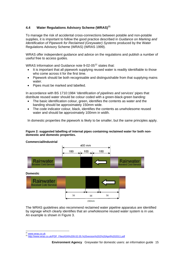### <span id="page-15-0"></span>**4.4 Water Regulations Advisory Scheme (WRAS)[21](#page-15-1)**

To manage the risk of accidental cross-connections between potable and non-potable supplies, it is important to follow the good practice described in *Guidance on Marking and Identification of Pipework for Reclaimed (Greywater) Systems produced by the Water* Regulations Advisory Scheme (WRAS) (WRAS 1999).

WRAS offer independent guidance and advice on the regulations and publish a number of useful free to access guides.

WRAS Information and Guidance note  $9-02-05^{22}$  $9-02-05^{22}$  $9-02-05^{22}$  states that:

- It is important that all pipework supplying reused water is readily identifiable to those who come across it for the first time.
- Pipework should be both recognisable and distinguishable from that supplying mains water.
- Pipes must be marked and labelled.

In accordance with BS 1710:1984 '*Identification of pipelines and services'* pipes that distribute reused water should be colour coded with a green-black-green banding:

- The basic identification colour, green, identifies the contents as water and the banding should be approximately 150mm wide.
- The code indicator colour, black, identifies the contents as unwholesome reused water and should be approximately 100mm in width.

In domestic properties the pipework is likely to be smaller, but the same principles apply.

#### **Figure 2: suggested labelling of internal pipes containing reclaimed water for both nondomestic and domestic properties.**



#### The WRAS guidelines also recommend reclaimed water pipeline apparatus are identified by signage which clearly identifies that an unwholesome reused water system is in use. An example is shown in Figure 3.

<span id="page-15-2"></span><span id="page-15-1"></span> $21$ 

<sup>21</sup> [www.wras.co.uk](http://www.wras.co.uk/) 22 [http://www.wras.co.uk/PDF\\_Files/IGN%209.02.05.%20version%202%20April%202011.pdf](http://www.wras.co.uk/PDF_Files/IGN%209.02.05.%20version%202%20April%202011.pdf)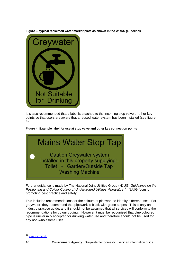

**Figure 3: typical reclaimed water marker plate as shown in the WRAS guidelines** 

It is also recommended that a label is attached to the incoming stop valve or other key points so that users are aware that a reused water system has been installed (see figure 4).

**Figure 4: Example label for use at stop valve and other key connection points**



Further guidance is made by The National Joint Utilities Group (NJUG) *Guidelines on the Positioning and Colour Coding of Underground Utilities' Apparatus*[23](#page-16-0)*.* NJUG focus on promoting best practice and safety.

This includes recommendations for the colours of pipework to identity different uses. For greywater, they recommend that pipework is black with green stripes. This is only an industry practice guide, and it should not be assumed that all services will conform to the recommendations for colour coding. However it must be recognised that blue coloured pipe is universally accepted for drinking water use and therefore should not be used for any non-wholesome uses.

<span id="page-16-0"></span> $\overline{\phantom{a}}$ <sup>23</sup> [www.njug.org.uk](http://www.njug.org.uk/)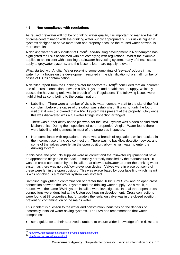#### <span id="page-17-0"></span>**4.5 Non-compliance with regulations**

As reused greywater will not be of drinking water quality, it is important to manage the risk of cross-contamination with the drinking water supply appropriately. This risk is higher in systems designed to serve more than one property because the reused water network is more complex.

A drinking water quality incident at Upton<sup>[24](#page-17-1)</sup> eco-housing development in Northampton has highlighted the risks associated with not complying with regulations. Whilst the example applies to an incident with installing a rainwater harvesting system, many of these issues apply to greywater systems, and the lessons learnt are equally relevant.

What started with Anglian Water receiving some complaints of 'sewage' odours in tap water from a house on the development, resulted in the identification of a small number of cases of E.Coli contamination.

A detailed report from the Drinking Water Inspectorate (DWI)<sup>[25](#page-17-2)</sup> concluded that an incorrect use of a cross-connection between a RWH system and potable water supply, which bypassed the harvesting unit, was in breach of the Regulations. The following issues were highlighted as contributing to the contamination:

Labelling – There were a number of visits by water company staff to the site of the first complaint before the cause of the odour was established. It was not until the fourth visit that it was discovered that a RWH system was present at the property. Only once this was discovered was a full water fittings inspection arranged.

There was further delay as the pipework for the RWH system was hidden behind fitted kitchen units. During the inspections of other properties, Anglian Water found there were labelling infringements in most of the properties inspected.

• Non-compliance with regulations – there was a breach of regulations which resulted in the incorrect use of a cross-connection. There was no backflow detection device, and some of the valves were left in the open position, allowing rainwater to enter the drinking system .

In this case, the products supplied were all correct and the rainwater equipment did have an appropriate air-gap on the back-up supply correctly supplied by the manufacturer. It was the cross-connection by the installer that allowed rainwater to enter the drinking water system as there was no backflow prevention device. Valves were in place but some of these were left in the open position. This was exacerbated by poor labelling which meant is was not obvious a rainwater system was installed.

Sampling highlighted a contamination of greater than 100/100ml *E.coli* and an open cross connection between the RWH system and the drinking water supply. As a result, all houses with the same RWH system installed were investigated. In total three open cross connections were identified at the Upton eco-housing development. Cross connections were found at 87 properties, but fortunately the isolation valve was in the closed position, preventing contamination of the mains water.

This incident is a lesson to the water and construction industries on the dangers of incorrectly installed water-saving systems. The DWI has recommended that water companies:

• send guidance to their approved plumbers to ensure wider knowledge of the risks; and

l

<span id="page-17-2"></span><span id="page-17-1"></span><sup>&</sup>lt;sup>24</sup> http://www.homesandcommunities.co.uk/upton-northampton.htm<br><sup>25</sup> <http://www.dwi.gov.uk/upton-eal.pdf>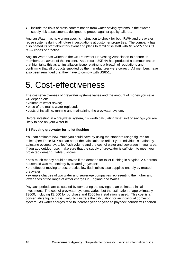<span id="page-18-0"></span>• include the risks of cross contamination from water-saving systems in their water supply risk assessments, designed to protect against quality failures.

Anglian Water has now given specific instruction to check for both RWH and greywater reuse systems during all future investigations at customer properties. The company has also briefed its staff about this event and plans to familiarise staff with *BS 8515* and *BS 8525* codes of practice.

Anglian Water has written to the UK Rainwater Harvesting Association to ensure its members are aware of the incident. As a result UKRHA has produced a communication that highlights this as an installation issue relating to a breach of regulations and confirming that all products supplied by the manufacturer were correct. All members have also been reminded that they have to comply with BS8515.

# 5. Cost-effectiveness

The cost-effectiveness of greywater systems varies and the amount of money you save will depend on:

- volume of water saved;
- price of the mains water replaced;
- costs of installing, running and maintaining the greywater system.

Before investing in a greywater system, it's worth calculating what sort of savings you are likely to see on your water bill.

#### **5.1 Reusing greywater for toilet flushing**

You can estimate how much you could save by using the standard usage figures for toilets (see Table 5). You can adapt the calculation to reflect your individual situation by adjusting occupancy, toilet flush volume and the cost of water and sewerage in your area . If you add outdoor use, make sure that the supply of greywater is sufficient to meet your projected demand. Table 5 shows:

• how much money could be saved if the demand for toilet flushing in a typical 2.4 person household was met entirely by treated greywater;

• the effect of moving to best practice low flush toilets also supplied entirely by treated greywater;

• example charges of two water and sewerage companies representing the higher and lower ends of the range of water charges in England and Wales.

Payback periods are calculated by comparing the savings to an estimated initial investment. The cost of greywater systems varies, but the estimation of approximately £3000, including £2,500 for purchase and £500 for installation is used. This cost is a conservative figure but is useful to illustrate the calculation for an individual domestic system. As water charges tend to increase year on year so payback periods will shorten.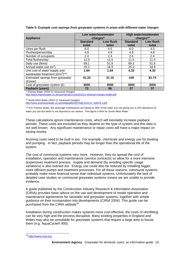| <b>Appliance</b>                                                                     | Low water/wastewater<br>charges* |                     | <b>High water/wastewater</b><br>charges** |                     |
|--------------------------------------------------------------------------------------|----------------------------------|---------------------|-------------------------------------------|---------------------|
|                                                                                      | <b>Standard</b><br>toilet        | Low flush<br>toilet | <b>Standard</b><br>toilet                 | Low flush<br>toilet |
| Litres per flush                                                                     | 6.0                              | 4.5                 | 6.0                                       | 4.5                 |
| Flushes/person/day                                                                   | 4.8                              | 4.8                 | 4.8                                       | 4.8                 |
| Number of occupants                                                                  | 2.4                              | 2.4                 | 2.4                                       | 2.4                 |
| Total flushes/day                                                                    | 11.5                             | 11.5                | 11.5                                      | 11.5                |
| Daily use (litres)                                                                   | 69.1                             | 51.8                | 69.1                                      | 51.8                |
| Annual water use (m <sup>3</sup> )                                                   | 25.2                             | 18.9                | 25.2                                      | 18.9                |
| Unit cost of water supply and<br>wastewater treatment $(\hat{\mathbf{E}}/m^3)^{***}$ | 1.64                             | 1.64                | 4.33                                      | 4.33                |
| Estimated savings from greywater<br>(E/year)                                         | 41.33                            | 31.10               | 109                                       | 81.74               |
| Cost of greywater system (£)                                                         | 3000                             | 3000                | 3000                                      | 3000                |
| Payback (years)                                                                      | 73                               | 96                  | 27                                        | 37                  |

#### **Table 5: Example cost savings from greywater systems in areas with different water charges**

Thames Water (2010-11 measured charges)

<http://www.thameswater.co.uk/cps/rde/xbcr/corp/201011-metered-charges-leaflet.pdf>

\*\* South West Water (2010-11 measured charges)

[http://www.southwestwater.co.uk/media/pdf/e/5/FinalCS10111\\_webV0.1.pdf](http://www.southwestwater.co.uk/media/pdf/e/5/FinalCS10111_webV0.1.pdf)

\*\*\* For Thames Water, the sewerage contributions are based on 90% of the water you use giving you a 10% allowance for water you use but which is not returned to our sewers. This figure is 95% for South West Water.

These calculations ignore maintenance costs, which will inevitably increase payback periods. These costs are excluded as they depend on the type of system and this data is not well known. Any significant maintenance or repair costs will have a major impact on saving money.

Running costs need to be built in too. For example, chemicals and energy use for treating and pumping. In fact, payback periods may be longer than the operational life of the system.

The cost of communal systems vary more. However, they do spread the cost of installation, operation and maintenance (service contracts) so allow for a more intensive (expensive) treatment process. Supply and demand (by avoiding specific usage variations) is also evened out. Energy use could also be reduced by installing bigger, more efficient pumps and treatment processes. For all these reasons, communal systems probably make more financial sense than individual systems. Unfortunately the lack of detailed case studies on communal greywater systems means we are unable to provide evidence.

A guide published by the Construction Industry Research & Information Association (CIRIA) provides basic advice on the use and development of model operation and maintenance agreements for rainwater and greywater systems, together with simple guidance on their incorporation into developments (CIRIA 2004). This guide can be purchased from the CIRIA website $^{26}$  $^{26}$  $^{26}$ .

Installation during construction makes systems more cost-effective; the costs of retrofitting can be very high and the process disruptive. Many existing properties in England and Wales may also be unsuitable for greywater systems that require a large area to house them (e.g. AquaCycle® 900).

 $\overline{a}$ 

<span id="page-19-0"></span><sup>&</sup>lt;sup>26</sup> [http://www.ciria.org](http://www.ciria.org/service/AM/ContentManagerNet/Search/SearchDisplay.aspx?Section=Search1&FormName=SearchForm1)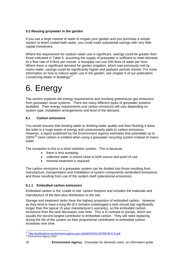### <span id="page-20-0"></span>**5.2 Reusing greywater in the garden**

If you use a large volume of water to irrigate your garden and you purchase a simple system to divert cooled bath water, you could make substantial savings with very little capital investment.

Where the requirement for outdoor water use is significant, savings could be greater than those indicated in Table 5, assuming the supply of greywater is sufficient to meet demand. At a flow rate of 9 litres per minute, a hosepipe can use 540 litres of water per hour. Where there is significant demand for garden irrigation, which was previously met by mains water, savings could be significantly higher and payback periods shorter. For more information on how to reduce water use in the garden, see chapter 6 of our publication, *Conserving Water in Buildings[27](#page-20-1)*.

# 6. Energy

The section explores the energy requirements and resulting greenhouse gas emissions from greywater reuse systems. There are many different types of greywater systems available. Their energy requirements and carbon emissions will vary depending on system type, installation arrangements and level of the demand.

### **6.1 Carbon emissions**

You would assume that treating water to drinking water quality and then flushing it down the toilet is a huge waste of energy and unnecessarily adds to carbon emissions. However, a report published by the Environment Agency estimates that potentially up to 100%<sup>[28](#page-20-2)</sup> more carbon is emitted when using a greywater recycling system instead of mains water.

The exception to this is a short retention system. This is because:

- there is less pumping;
- collected water is stored close to both source and point of use;
- minimal treatment is required.

The carbon emissions of a greywater system can be divided into those resulting from manufacture, transportation and installation of system components (embodied emissions) and those resulting from use of the system itself (operational emissions).

### **6.1.1 Embodied carbon emissions**

Embodied carbon is the 'cradle to site' carbon footprint and includes the materials and manufacture of the item plus distribution to the site.

Storage and treatment tanks have the highest proportion of embodied carbon. However as they tend to have a long life (if it remains undamaged a tank should last significantly longer than the typical 15 year manufacturer's warranty), so the embodied carbon emissions from the tank decreases over time. This is in contrast to pumps, which are usually the second largest contributor to embodied carbon. They will need replacing during the life of the system so their proportional contribution to embodied carbon increases over time.

<span id="page-20-1"></span>l <sup>27</sup> http://publications.environment-agency.gov.uk/pdf/GEHO1107BNJR-E-E.pdf<br><sup>28</sup> Environment Agency 2010

<span id="page-20-2"></span>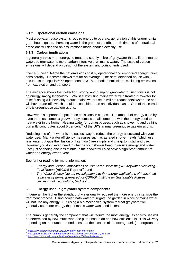### <span id="page-21-0"></span>**6.1.2 Operational carbon emissions**

Most greywater reuse systems require energy to operate; generation of this energy emits greenhouse gases. Pumping water is the greatest contributor. Estimates of operational emissions will depend on assumptions made about electricity use.

#### **6.1.3 Carbon implications**

It generally takes more energy to treat and supply a litre of greywater than a litre of mains water, so greywater is more carbon intensive than mains water. The scale of carbon emissions will depend on design of the system and components used.

Over a 30 year lifetime the net emissions split by operational and embodied energy varies considerably. Research shows that for an average  $90m^2$  semi-detached house with 3 occupants the split is 69% operational to 31% embodied emissions, excluding emissions from excavation and transport.

The evidence shows that collecting, storing and pumping greywater to flush toilets is not an energy saving technology. Whilst substituting mains water with treated greywater for toilet flushing will inevitably reduce mains water use, it will not reduce total water use and will have trade-offs which should be considered on an individual basis. One of these trade offs is greenhouse gas emissions.

However, it's important to put these emissions in context. The amount of energy used by even the most complex greywater systems is small compared with the energy used to heat water in the home. Heating water for domestic uses, such as showering and bathing currently contributes about 5 per cent<sup>[29](#page-21-1)</sup> of the UK's annual greenhouse gas emissions.

Reducing use of hot water is the easiest way to reduce the energy associated with your water use. Many water efficiency measures such as aerated shower heads (which use less water but give the illusion of 'high flow') are simple and cheap to install and use. However you don't even need to change your shower head to reduce energy and water use: just spending one less minute in the shower will also save a significant amount of water and energy over a year.

See further reading for more information:

- *Energy and Carbon Implications of Rainwater Harvesting & Greywater Recycling Final Report* **(AECOM Report)[30](#page-21-2)**; and
- *The Water-Energy Nexus: Investigation into the energy implications of household rainwater systems, [prepared for CSIRO], Institute for Sustainable Futures, University of Technology, Sydney[31](#page-21-3).*

### **6.2 Energy used in greywater system components**

In general, the higher the standard of water quality required the more energy intensive the treatment process. Using cooled bath water to irrigate the garden in place of mains water will not use any energy. But using a bio-mechanical system to treat greywater will generally use more energy than if mains water was used instead.

The pump is generally the component that will require the most energy. Its energy use will be determined by how much work the pump has to do and how efficient it is. This will vary depending on the number of end uses and the location of the storage unit (underground or

<span id="page-21-1"></span><sup>&</sup>lt;sup>29</sup> http://www.energysavingtrust.org.uk/Water/Water-and-energy

<span id="page-21-2"></span><sup>30</sup> <http://publications.environment-agency.gov.uk/pdf/SCHO0610BSMQ-E-E.pdf><br>31 http://publications.environment-agency.gov.uk/pdf/SCHO0610BSMQ-E-E.pdf<br>31 http://www.isf.uts.edu.au/p<u>ublications/retamaletal2009wenlitreview.pdf</u>

<span id="page-21-3"></span>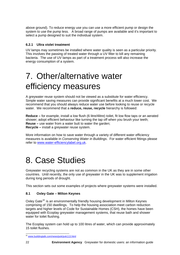<span id="page-22-0"></span>above ground). To reduce energy use you can use a more efficient pump or design the system to use the pump less. A broad range of pumps are available and it's important to select a pump designed to suit the individual system.

### **6.2.1 Ultra violet treatment**

UV lamps may sometimes be installed where water quality is seen as a particular priority. This involves the passing of treated water through a UV filter to kill any remaining bacteria. The use of UV lamps as part of a treatment process will also increase the energy consumption of a system.

# 7. Other/alternative water efficiency measures

A greywater reuse system should not be viewed as a substitute for water efficiency. Simple water saving measures can provide significant benefits at a much lower cost. We recommend that you should always reduce water use before looking to reuse or recycle water. We recommend that a **reduce, reuse, recycle** hierarchy is followed:

**Reduce –** for example, install a low flush (6 litre/4litre) toilet, fit low flow taps or an aerated shower; adopt efficient behaviour like turning the tap off when you brush your teeth; **Reuse –** use water from a water butt to water the garden; **Recycle –** install a greywater reuse system.

More information on how to save water through a variety of different water efficiency measures is available in *Conserving Water in Buildings*. For water efficient fittings please refer to [www.water-efficiencylabel.org.uk](http://www.water-efficiencylabel.org.uk/).

# 8. Case Studies

Greywater recycling systems are not as common in the UK as they are in some other countries. Until recently, the only use of greywater in the UK was to supplement irrigation during long periods of drought.

This section sets out some examples of projects where greywater systems were installed.

### **8.1 Oxley Gate – Milton Keynes**

Oxley Gate<sup>[32](#page-22-1)</sup> is an environmentally friendly housing development in Milton Keynes comprising of 150 dwellings. To help the housing association meet carbon reduction targets and higher levels of Code for Sustainable Homes (CSH), the homes have been equipped with Ecoplay greywater management systems, that reuse bath and shower water for toilet flushing.

The Ecoplay system can hold up to 100 litres of water, which can provide approximately 15 toilet flushes.

<span id="page-22-1"></span>l <sup>32</sup> [www.buildingtalk.com/news/pok/pok113.html](http://www.buildingtalk.com/news/pok/pok113.html)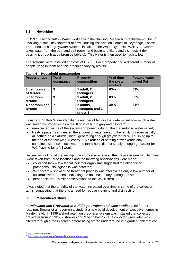### <span id="page-23-0"></span>**8.2 Heybridge**

In 1997 Essex & Suffolk Water worked with the Building Research Establishment (BRE)<sup>[33](#page-23-1)</sup> involving a small development of new Housing Association Homes in Heybridge, Essex<sup>[34](#page-23-2)</sup>. Three houses had greywater systems installed. The Water Dynamics Well Butt System takes water from the bath and bathroom hand basin and filters and disinfects it (by passing it through aqua bromide tablets). This water is then used to flush toilets.

The systems were installed at a cost of £1286. Each property had a different number of people living in them and this produced varying results:

| <b>Property type</b>        | <b>Total</b><br>occupancy | <b>Property</b><br>composition            | % of time<br>the system<br>worked | <b>Potable water</b><br>saved (%) |
|-----------------------------|---------------------------|-------------------------------------------|-----------------------------------|-----------------------------------|
| 3 bedroom end<br>of terrace | -3                        | 1 adult, 2<br>teenagers                   | 63%                               | 53%                               |
| 3 bedroom<br>terrace        | 3                         | 1 adult, 2<br>teenagers                   | 83%                               | 65%                               |
| 4 bedroom end<br>terrace    | 7                         | 2 adults, 3<br>teenagers and 1<br>under 5 | 39%                               | 24%                               |

#### **Table 6 – Household consumption**

Essex and Suffolk Water identified a number of factors that determined how much water was saved by properties as a result of installing a greywater system:

- unexpected failure of the system components during the trial reduced water saved;
- lifestyle patterns influenced the amount of water saved. The family of seven usually all bathed on a Saturday night, generating enough greywater for WC flushing up to the end of the following Tuesday. This routine of bathing at weekends only, combined with how much water the tanks hold, did not supply enough greywater for WC flushing for a full week.

As well as looking at the savings, the study also analysed the greywater quality. Samples were taken from three locations and the following observations were made:

- collection tank low faecal indicator organisms suggested the absence of pathogens. No legionella was detected;
- WC cistern showed the treatment process was effective as only a low number of coliforms were present, indicating the absence of any pathogens; and
- header cistern similar observations to the WC cistern.

It was noted that the turbidity of the water increased over time in some of the collection tanks, suggesting that there is a need for regular cleaning and disinfecting.

### **8.3 Maidenhead Study**

In *Rainwater and Greywater in Buildings; Project and case studies* (see further reading), Brewer et al report on a study at a new build development of executive homes in Maidenhead. In 1999 a short retention greywater system was installed that collected greywater from 2 baths, 2 showers and 3 hand basins. The collected greywater was filtered through a mesh screen before being stored underground in a garden tank that can

<span id="page-23-1"></span>l

<span id="page-23-2"></span><sup>&</sup>lt;sup>33</sup> http://www.bre.co.uk/<br><sup>34</sup> http://www.eswater<u>.co.uk/Waterefficientnewhomes.aspx</u>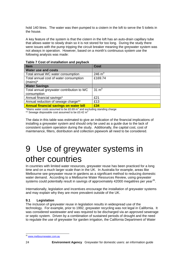<span id="page-24-0"></span>hold 140 litres. The water was then pumped to a cistern in the loft to serve the 5 toilets in the house.

A key feature of the system is that the cistern in the loft has an auto-drain capillary tube that allows water to slowly drain so it is not stored for too long. During the study there were issues with the pump tripping the circuit breaker meaning the greywater system was not always in operation. However, based on a month's continuous system use the following analysis was made:

| Table 7 Cost of installation and payback |  |
|------------------------------------------|--|
|------------------------------------------|--|

| <b>Item</b>                                   | <b>Cost</b>      |
|-----------------------------------------------|------------------|
| <b>Water use and costs</b>                    |                  |
| Total annual WC water consumption             | 246 $m3$         |
| Total annual cost of water consumption        | £169.74          |
| $(mains)*$                                    |                  |
| <b>Water Savings</b>                          |                  |
| Total annual greywater contribution to WC     | $31 \text{ m}^3$ |
| consumption                                   |                  |
| Annual financial savings*                     | £21              |
| Annual reduction of sewage charge**           | £13              |
| <b>Annual financial savings on water bill</b> | £34              |

\*Mains water costs assumed to be £0.69  $m<sup>3</sup>$  and excluding standing charge

\*\* Sewage disposable cost assumed to be £0.42  $m<sup>3</sup>$ 

The data in this table was estimated to give an indication of the financial implications of installing a greywater system and should only be used as a guide due to the lack of consistent system operation during the study. Additionally, the capital cost, cost of maintenance, filters, distribution and collection pipework all need to be considered.

# 9 Use of greywater systems in other countries

In countries with limited water resources, greywater reuse has been practiced for a long time and on a much larger scale than in the UK. In Australia for example, areas like Melbourne see greywater reuse in gardens as a significant method to reducing domestic water demand. According to a Melbourne Water Resources Review, using greywater systems could potentially result in savings of approximately 42000 megalitres per year<sup>[35](#page-24-1)</sup>.

Internationally, legislation and incentives encourage the installation of greywater systems and may explain why they are more prevalent outside of the UK.

### **9.1 Legislation**

The inclusion of greywater reuse in legislation results in widespread use of the technology. For example, prior to 1992, greywater recycling was not legal in California. It was considered wastewater and was required to be discharged via an approved sewerage or septic system. Driven by a combination of sustained periods of drought and the need to regulate the use of greywater for garden irrigation, the California Department of Water

l

<span id="page-24-1"></span><sup>&</sup>lt;sup>35</sup> [www.melbournewater.com.au](http://www.melbournewater.com.au/)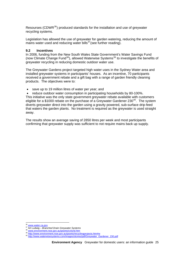<span id="page-25-0"></span>Resourses (CDWR $^{36}$  $^{36}$  $^{36}$ ) produced standards for the installation and use of greywater recycling systems.

Legislation has allowed the use of greywater for garden watering, reducing the amount of mains water used and reducing water bills $^{37}$  $^{37}$  $^{37}$ (see further reading).

#### **9.2 Incentives**

In 2006, funding from the New South Wales State Government's Water Savings Fund (now Climate Change Fund<sup>[38](#page-25-3)</sup>), allowed Waterwise Systems<sup>[39](#page-25-4)</sup> to investigate the benefits of greywater recycling in reducing domestic outdoor water use.

The Greywater Gardens project targeted high water uses in the Sydney Water area and installed greywater systems in participants' houses. As an incentive, 70 participants received a government rebate and a gift bag with a range of garden friendly cleaning products. The objectives were to:

save up to 19 million litres of water per year; and

• reduce outdoor water consumption in participating households by 80-100%. This initiative was the only state government greywater rebate available with customers eligible for a \$1000 rebate on the purchase of a Greywater Gardener 230<sup>[40](#page-25-5)</sup>. The system diverts greywater direct into the garden using a gravity powered, sub-surface drip-feed that waters the garden plants. No treatment is required as the greywater is used straight away.

The results show an average saving of 2850 litres per week and most participants confirming that greywater supply was sufficient to not require mains back up supply.

l

<span id="page-25-3"></span><span id="page-25-2"></span>

<span id="page-25-4"></span>

<span id="page-25-1"></span><sup>&</sup>lt;sup>36</sup><br><sup>37</sup> Art Ludwig – *Branched Drain Greywater Systems*<br><sup>38</sup> <u>www.environment.nsw.gov.au/grants/ccfund.htm</u><br><sup>39</sup> [http://www.waterwisesystems.com/images/stories/pdf/Greywater\\_Gardener\\_230.pdf](http://www.waterwisesystems.com/images/stories/pdf/Greywater_Gardener_230.pdf)<br><sup>40</sup> http://www.waterwisesyst

<span id="page-25-5"></span>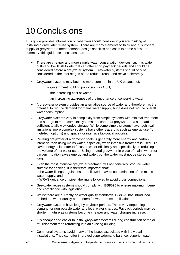# 10 Conclusions

This guide provides information on what you should consider if you are thinking of installing a greywater reuse system. There are many elements to think about; sufficient supply of greywater to meet demand, design specifics and costs to name a few. In summary, this guidance concludes that:

- There are cheaper and more simple water conservation devices, such as water butts and low flush toilets that can offer short payback periods and should be considered before a greywater system. Greywater systems should only be considered in the later stages of the reduce, reuse and recycle hierarchy.
- Greywater systems may become more common in the UK because of:
	- government building policy such as CSH;
	- the increasing cost of water;
	- an increasing awareness of the importance of conserving water.
- A greywater system provides an alternative source of water and therefore has the potential to reduce demand for mains water supply, but it does not reduce overall water consumption.
- Greywater systems vary in complexity from simple systems with minimal treatment and storage to more complex systems that can treat greywater to a standard sufficient to allow extended storage. While some simple systems have technical limitations, more complex systems have other trade-offs such as energy use (for high-tech options) and space (for intensive biological options).
- Reusing greywater at a domestic scale is generally more energy and carbon intensive than using mains water, especially when intensive treatment is used. To save energy, it is better to focus on water efficiency and specifically on reducing the volume of hot water used. Using treated greywater in place of mains water for garden irrigation saves energy and water, but the water must not be stored for long.
- Even the most intensive greywater treatment will not generally produce water suitable for drinking. It is therefore important that: – the water fittings regulations are followed to avoid contamination of the mains water supply; and
	- WRAS guidance on pipe labelling is followed to avoid cross connections.
- Greywater reuse systems should comply with **BS8525** to ensure maximum benefit and compliance with legislation.
- Whilst there are currently no water quality standards, **BS8525** has introduced embedded water quality parameters for water reuse applications.
- Greywater systems have lengthy payback periods. These vary depending on demand for non-potable water and local water charges. Payback periods may be shorter in future as systems become cheaper and water charges increase.
- It is cheaper and easier to install greywater systems during construction or major refurbishment than retrofitting into an existing building.
- Communal systems avoid many of the issues associated with individual installations. They can offer improved supply/demand balance, superior water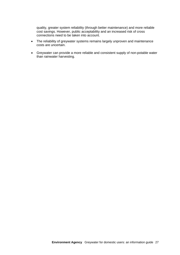quality, greater system reliability (through better maintenance) and more reliable cost savings. However, public acceptability and an increased risk of cross connections need to be taken into account.

- The reliability of greywater systems remains largely unproven and maintenance costs are uncertain.
- Greywater can provide a more reliable and consistent supply of non-potable water than rainwater harvesting.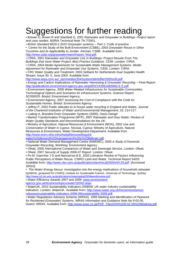# <span id="page-28-0"></span>Suggestions for further reading

• Brewer D, Brown R and Stanfield G, 2001 *Rainwater and Greywater in Buildings: Project report and case studies*. BSRIA Technical Note TN 7/2001.

• *British Standard 8525-1:2010 Greywater systems – Part 1: Code of practice* 

• Centre for the Study of the Built Environment (CSBE), 2003 *Greywater Reuse in Other Countries and its Applicability to Jordan*. Amman: CSBE. Available from:

[http://www.csbe.org/graywater/report/report\\_final.pdf.](http://www.csbe.org/graywater/report/report_final.pdf)

• CIRIA, 2001 *Rainwater and Greywater Use in Buildings: Project Results From The Buildings that Save Water Project. Best Practice Guidance.* C539. London: CIRIA.

• CIRIA, 2004 *Model Agreements for Sustainable Water Management Systems. Model* 

*Agreement for Rainwater and Greywater Use Systems*. C626. London: CIRIA.

• CRC Water Quality and Treatment, 2003 *Setback for Netherlands Dual Supplies* Health Stream, Issue 30, 5, June 2003. Available from:

[http://www.wqra.com.au/\\_dyn/media/r354/system/attrib/file/295/hs30.pdf](http://www.wqra.com.au/_dyn/media/r354/system/attrib/file/295/hs30.pdf) .

• *Energy and Carbon Implications of Rainwater Harvesting & Greywater Recycling – Final Report*  <http://publications.environment-agency.gov.uk/pdf/SCHO0610BSMQ-E-E.pdf>

• Environment Agency, 2006 *Water Related Infrastructure for Sustainable Communities. Technological Options and Scenarios for Infrastructure Systems.* Science Report SC050025. Bristol: Environment Agency.

• Environment Agency, 2007 *Assessing the Cost of Compliance with the Code for Sustainable Homes*. Bristol: Environment Agency.

• Jeffrey P, 2002 Public attitudes to in-house water recycling in England and Wales, *Journal* 

*of the Chartered Institution of Water and Environmental Management*, 16, 214-217.

• Ludwig A, *Branded Drain Greywater Systems* (2000)*,* Oasis Design

• Market Transformation Programme (MTP), 2007 *Rainwater and Grey Water: Review of Water Quality Standards and Recommendations for the UK*.

• Ministry of Agriculture, Natural Resources & Environment (MOA), 2002 *Use and Conservation of Water in Cyprus*. Nicosia, Cyprus: Ministry of Agriculture, Natural Resources & Environment, Water Development Department. Available from: [http://www.emro.who.int/ceha/pdf/proceedings18-](http://www.emro.who.int/ceha/pdf/proceedings18-water%20demand%20management%20in%20Bahrain.pdf)

[water%20demand%20management%20in%20Bahrain.pdf](http://www.emro.who.int/ceha/pdf/proceedings18-water%20demand%20management%20in%20Bahrain.pdf).

• National Water Demand Management Centre (NWDMC), 2000 *A Study of Domestic Greywater Recycling.* Worthing: Environment Agency.

• Ofwat, 2005 *International Comparison of Water and Sewerage Service.* London: Ofwat.

• Ofwat, 2007 *Security of Supply 2006-07 Report*. London: Ofwat.

• Po M, Kaercher J D and Nancarrow B E, 2003 *Literature Review of Factors Influencing Public Perceptions of Water Reuse*. CSIRO Land and Water, Technical Report 54/03. Available from: <http://www.clw.csiro.au/publications/technical2003/tr54-03.pdf>[Accessed 20010].

• *The Water-Energy Nexus: Investigation into the energy implications of household rainwater systems, [prepared for CSIRO], Institute for Sustainable Futures, University of Technology, Sydney.*  <http://www.isf.uts.edu.au/publications/retamaletal2009wenlitreview.pdf>

• *Water Efficiency Awards 2007 and 2009: [www.environment](http://www.environment-agency.gov.uk/business/topics/water/32042.aspx)[agency.gov.uk/business/topics/water/32042.aspx](http://www.environment-agency.gov.uk/business/topics/water/32042.aspx)*

• WaterUK, 2010 *Sustainability Indicators 2008/09: UK water industry sustainability indicators*. London: WaterUK. Available from: [http://www.water.org.uk/home/news/press](http://www.water.org.uk/home/news/press-releases/sustainability-indicators-2008-09/sustainability-2009.pdf)[releases/sustainability-indicators-2008-09/sustainability-2009.pdf](http://www.water.org.uk/home/news/press-releases/sustainability-indicators-2008-09/sustainability-2009.pdf).

• Water Regulations Advisory Scheme (WRAS), 1999 *Marking and Identification of Pipework for Reclaimed (Greywater) Systems*. WRAS Information and Guidance Note No 9-02-05. Gwent: WRAS. Available from: [http://www.wras.co.uk/PDF\\_Files/IGN%209-02-05%20Marking.pdf](http://www.wras.co.uk/PDF_Files/IGN%209-02-05%20Marking.pdf).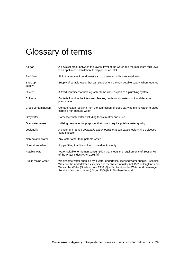# <span id="page-29-0"></span>Glossary of terms

| Air gap             | A physical break between the lowest level of the water and the maximum fault level<br>of an appliance, installation, feed pipe, or an inlet                                                                                                                                                                                   |
|---------------------|-------------------------------------------------------------------------------------------------------------------------------------------------------------------------------------------------------------------------------------------------------------------------------------------------------------------------------|
| <b>Backflow</b>     | Fluid that moves from downstream to upstream within an installation                                                                                                                                                                                                                                                           |
| Back-up<br>supply   | Supply of potable water that can supplement the non-potable supply when required                                                                                                                                                                                                                                              |
| Cistern             | A fixed container for holding water to be used as part of a plumbing system                                                                                                                                                                                                                                                   |
| Coliform            | Bacteria found in the intestines, faeces, nutrient-rich waters, soil and decaying<br>plant matter                                                                                                                                                                                                                             |
| Cross-contamination | Contamination resulting from the connection of pipes carrying mains water to pipes<br>carrying non-potable water                                                                                                                                                                                                              |
| Greywater           | Domestic wastewater excluding faecal matter and urine                                                                                                                                                                                                                                                                         |
| Greywater reuse     | Utilising greywater for purposes that do not require potable water quality                                                                                                                                                                                                                                                    |
| Legionella          | A bacterium named Legionalle pneumophila that can cause legionnaire's disease<br>(lung infection)                                                                                                                                                                                                                             |
| Non-potable water   | Any water other than potable water                                                                                                                                                                                                                                                                                            |
| Non-return valve    | A pipe fitting that limits flow to one direction only                                                                                                                                                                                                                                                                         |
| Potable water       | Water suitable for human consumption that meets the requirements of Section 67<br>of the Water Industry Act 1991 [7]                                                                                                                                                                                                          |
| Public mains water  | Wholesome water supplied by a water undertaker, licensed water supplier, Scottish<br>Water or the undertaker as specified in the Water Industry Act 1991 in England and<br>Wales, the Water (Scotland) Act 1980 [8] in Scotland, or the Water and Sewerage<br>Services (Northern Ireland) Order 2006 [9] in Northern Ireland. |